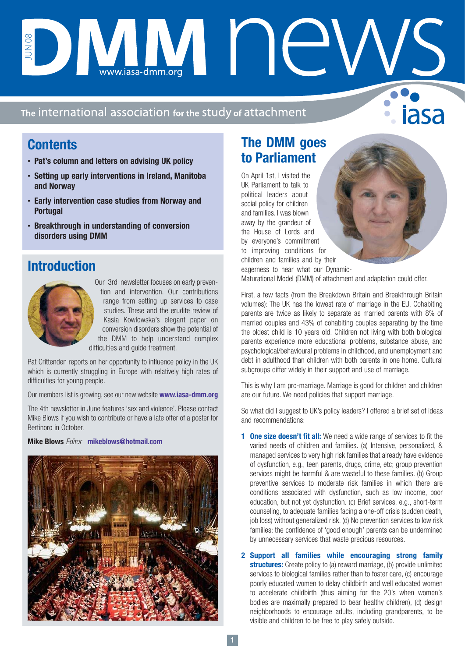# **Example 2019 11 Mars 10 Mars 10 Mars 10 Mars 10 Mars 10 Mars 10 Mars 10 Mars 10 Mars 10 Mars 10 Mars 10 Mars 10** JUN 0 8

### The international association for the study of attachment

### **Contents**

- **• Pat's column and letters on advising UK policy**
- **• Setting up early interventions in Ireland, Manitoba and Norway**
- **• Early intervention case studies from Norway and Portugal**
- **• Breakthrough in understanding of conversion disorders using DMM**

### **Introduction**



Our 3rd newsletter focuses on early prevention and intervention. Our contributions range from setting up services to case studies. These and the erudite review of Kasia Kowlowska's elegant paper on conversion disorders show the potential of the DMM to help understand complex difficulties and guide treatment.

Pat Crittenden reports on her opportunity to influence policy in the UK which is currently struggling in Europe with relatively high rates of difficulties for young people.

Our members list is growing, see our new website **www.iasa-dmm.org**

The 4th newsletter in June features 'sex and violence'. Please contact Mike Blows if you wish to contribute or have a late offer of a poster for Bertinoro in October.

#### **Mike Blows** Editor **mikeblows@hotmail.com**



### **The DMM goes to Parliament**

On April 1st, I visited the UK Parliament to talk to political leaders about social policy for children and families. I was blown away by the grandeur of the House of Lords and by everyone's commitment to improving conditions for children and families and by their eagerness to hear what our Dynamic-

Maturational Model (DMM) of attachment and adaptation could offer.

First, a few facts (from the Breakdown Britain and Breakthrough Britain volumes): The UK has the lowest rate of marriage in the EU. Cohabiting parents are twice as likely to separate as married parents with 8% of married couples and 43% of cohabiting couples separating by the time the oldest child is 10 years old. Children not living with both biological parents experience more educational problems, substance abuse, and psychological/behavioural problems in childhood, and unemployment and debt in adulthood than children with both parents in one home. Cultural subgroups differ widely in their support and use of marriage.

This is why I am pro-marriage. Marriage is good for children and children are our future. We need policies that support marriage.

So what did I suggest to UK's policy leaders? I offered a brief set of ideas and recommendations:

- **1 One size doesn't fit all:** We need a wide range of services to fit the varied needs of children and families. (a) Intensive, personalized, & managed services to very high risk families that already have evidence of dysfunction, e.g., teen parents, drugs, crime, etc; group prevention services might be harmful & are wasteful to these families. (b) Group preventive services to moderate risk families in which there are conditions associated with dysfunction, such as low income, poor education, but not yet dysfunction. (c) Brief services, e.g., short-term counseling, to adequate families facing a one-off crisis (sudden death, job loss) without generalized risk. (d) No prevention services to low risk families: the confidence of 'good enough' parents can be undermined by unnecessary services that waste precious resources.
- **2 Support all families while encouraging strong family structures:** Create policy to (a) reward marriage, (b) provide unlimited services to biological families rather than to foster care, (c) encourage poorly educated women to delay childbirth and well educated women to accelerate childbirth (thus aiming for the 20's when women's bodies are maximally prepared to bear healthy children), (d) design neighborhoods to encourage adults, including grandparents, to be visible and children to be free to play safely outside.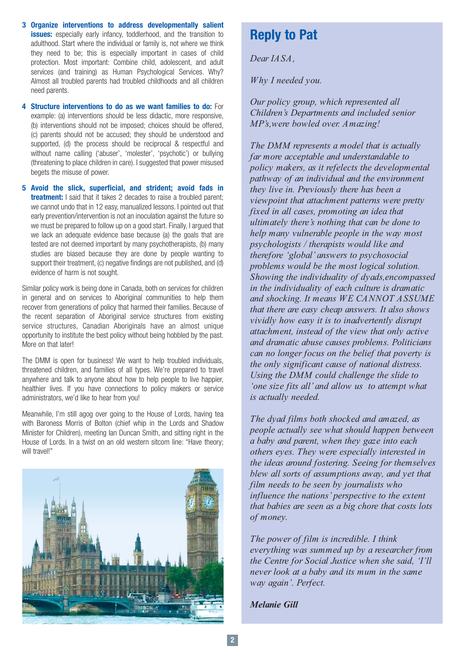- **3 Organize interventions to address developmentally salient issues:** especially early infancy, toddlerhood, and the transition to adulthood. Start where the individual or family is, not where we think they need to be; this is especially important in cases of child protection. Most important: Combine child, adolescent, and adult services (and training) as Human Psychological Services. Why? Almost all troubled parents had troubled childhoods and all children need parents.
- **4 Structure interventions to do as we want families to do:** For example: (a) interventions should be less didactic, more responsive, (b) interventions should not be imposed; choices should be offered, (c) parents should not be accused; they should be understood and supported, (d) the process should be reciprocal & respectful and without name calling ('abuser', 'molester', 'psychotic') or bullying (threatening to place children in care). I suggested that power misused begets the misuse of power.
- **5 Avoid the slick, superficial, and strident; avoid fads in treatment:** I said that it takes 2 decades to raise a troubled parent; we cannot undo that in 12 easy, manualized lessons. I pointed out that early prevention/intervention is not an inoculation against the future so we must be prepared to follow up on a good start. Finally, I argued that we lack an adequate evidence base because (a) the goals that are tested are not deemed important by many psychotherapists, (b) many studies are biased because they are done by people wanting to support their treatment, (c) negative findings are not published, and (d) evidence of harm is not sought.

Similar policy work is being done in Canada, both on services for children in general and on services to Aboriginal communities to help them recover from generations of policy that harmed their families. Because of the recent separation of Aboriginal service structures from existing service structures, Canadian Aboriginals have an almost unique opportunity to institute the best policy without being hobbled by the past. More on that later!

The DMM is open for business! We want to help troubled individuals, threatened children, and families of all types. We're prepared to travel anywhere and talk to anyone about how to help people to live happier, healthier lives. If you have connections to policy makers or service administrators, we'd like to hear from you!

Meanwhile, I'm still agog over going to the House of Lords, having tea with Baroness Morris of Bolton (chief whip in the Lords and Shadow Minister for Children), meeting Ian Duncan Smith, and sitting right in the House of Lords. In a twist on an old western sitcom line: "Have theory; will travel!"



### **Reply to Pat**

*Dear IASA,*

*Why I needed you.*

*Our policy group, which represented all Children's Departments and included senior MP's,were bowled over. Amazing!* 

*The DMM represents a model that is actually far more acceptable and understandable to policy makers, as it refelects the developmental pathway of an individual and the environment they live in. Previously there has been a viewpoint that attachment patterns were pretty fixed in all cases, promoting an idea that ultimately there's nothing that can be done to help many vulnerable people in the way most psychologists / therapists would like and therefore 'global' answers to psychosocial problems would be the most logical solution. Showing the individuality of dyads,encompassed in the individuality of each culture is dramatic and shocking. It means WE CANNOT ASSUME that there are easy cheap answers. It also shows vividly how easy it is to inadvertently disrupt attachment, instead of the view that only active and dramatic abuse causes problems. Politicians can no longer focus on the belief that poverty is the only significant cause of national distress. Using the DMM could challenge the slide to 'one size fits all' and allow us to attempt what is actually needed.*

*The dyad films both shocked and amazed, as people actually see what should happen between a baby and parent, when they gaze into each others eyes. They were especially interested in the ideas around fostering. Seeing for themselves blew all sorts of assumptions away, and yet that film needs to be seen by journalists who influence the nations' perspective to the extent that babies are seen as a big chore that costs lots of money.* 

*The power of film is incredible. I think everything was summed up by a researcher from the Centre for Social Justice when she said, 'I'll never look at a baby and its mum in the same way again'. Perfect.*

*Melanie Gill*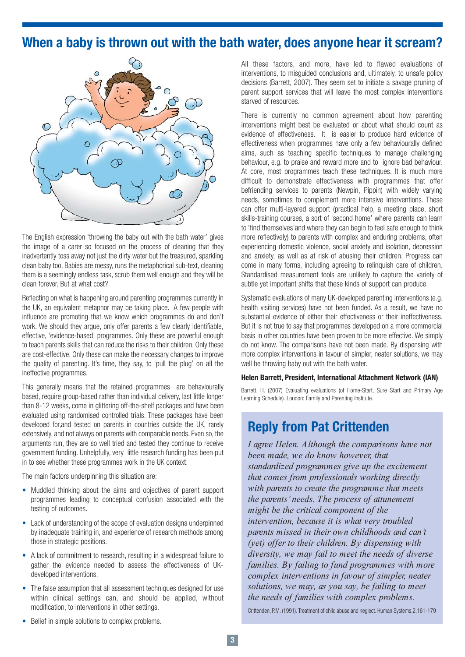### **When a baby is thrown out with the bath water, does anyone hear it scream?**



The English expression 'throwing the baby out with the bath water' gives the image of a carer so focused on the process of cleaning that they inadvertently toss away not just the dirty water but the treasured, sparkling clean baby too. Babies are messy, runs the metaphorical sub-text, cleaning them is a seemingly endless task, scrub them well enough and they will be clean forever. But at what cost?

Reflecting on what is happening around parenting programmes currently in the UK, an equivalent metaphor may be taking place. A few people with influence are promoting that we know which programmes do and don't work. We should they argue, only offer parents a few clearly identifiable. effective, 'evidence-based' programmes. Only these are powerful enough to teach parents skills that can reduce the risks to their children. Only these are cost-effective. Only these can make the necessary changes to improve the quality of parenting. It's time, they say, to 'pull the plug' on all the ineffective programmes.

This generally means that the retained programmes are behaviourally based, require group-based rather than individual delivery, last little longer than 8-12 weeks, come in glittering off-the-shelf packages and have been evaluated using randomised controlled trials. These packages have been developed for,and tested on parents in countries outside the UK, rarely extensively, and not always on parents with comparable needs. Even so, the arguments run, they are so well tried and tested they continue to receive government funding. Unhelpfully, very little research funding has been put in to see whether these programmes work in the UK context.

The main factors underpinning this situation are:

- Muddled thinking about the aims and objectives of parent support programmes leading to conceptual confusion associated with the testing of outcomes.
- Lack of understanding of the scope of evaluation designs underpinned by inadequate training in, and experience of research methods among those in strategic positions.
- A lack of commitment to research, resulting in a widespread failure to gather the evidence needed to assess the effectiveness of UKdeveloped interventions.
- The false assumption that all assessment techniques designed for use within clinical settings can, and should be applied, without modification, to interventions in other settings.

All these factors, and more, have led to flawed evaluations of interventions, to misguided conclusions and, ultimately, to unsafe policy decisions (Barrett, 2007). They seem set to initiate a savage pruning of parent support services that will leave the most complex interventions starved of resources.

There is currently no common agreement about how parenting interventions might best be evaluated or about what should count as evidence of effectiveness. It is easier to produce hard evidence of effectiveness when programmes have only a few behaviourally defined aims, such as teaching specific techniques to manage challenging behaviour, e.g. to praise and reward more and to ignore bad behaviour. At core, most programmes teach these techniques. It is much more difficult to demonstrate effectiveness with programmes that offer befriending services to parents (Newpin, Pippin) with widely varying needs, sometimes to complement more intensive interventions. These can offer multi-layered support (practical help, a meeting place, short skills-training courses, a sort of 'second home' where parents can learn to 'find themselves'and where they can begin to feel safe enough to think more reflectively) to parents with complex and enduring problems, often experiencing domestic violence, social anxiety and isolation, depression and anxiety, as well as at risk of abusing their children. Progress can come in many forms, including agreeing to relinquish care of children. Standardised measurement tools are unlikely to capture the variety of subtle yet important shifts that these kinds of support can produce.

Systematic evaluations of many UK-developed parenting interventions (e.g. health visiting services) have not been funded. As a result, we have no substantial evidence of either their effectiveness or their ineffectiveness. But it is not true to say that programmes developed on a more commercial basis in other countries have been proven to be more effective. We simply do not know. The comparisons have not been made. By dispensing with more complex interventions in favour of simpler, neater solutions, we may well be throwing baby out with the bath water.

#### **Helen Barrett, President, International Attachment Network (IAN)**

Barrett, H. (2007) Evaluating evaluations (of Home-Start. Sure Start and Primary Age Learning Schedule). London: Family and Parenting Institute.

### **Reply from Pat Crittenden**

*I agree Helen. Although the comparisons have not been made, we do know however, that standardized programmes give up the excitement that comes from professionals working directly with parents to create the programme that meets the parents' needs. The process of attunement might be the critical component of the intervention, because it is what very troubled parents missed in their own childhoods and can't (yet) offer to their children. By dispensing with diversity, we may fail to meet the needs of diverse families. By failing to fund programmes with more complex interventions in favour of simpler, neater solutions, we may, as you say, be failing to meet the needs of families with complex problems.*

Crittenden, P.M. (1991). Treatment of child abuse and neglect. Human Systems.2,161-179

• Belief in simple solutions to complex problems.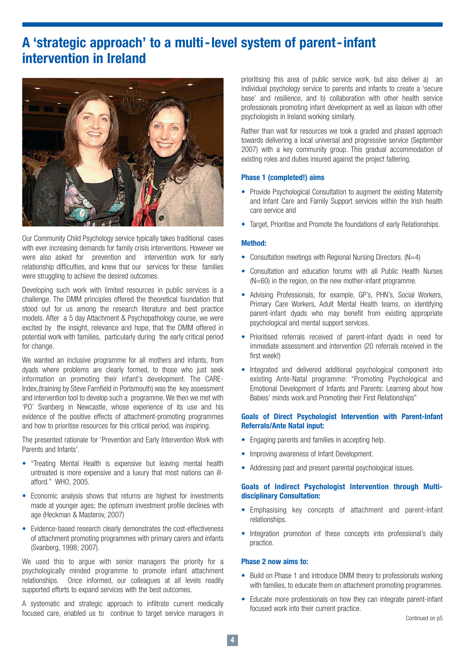### **A 'strategic approach' to a multi-level system of parent-infant intervention in Ireland**



Our Community Child Psychology service typically takes traditional cases with ever increasing demands for family crisis interventions. However we were also asked for prevention and intervention work for early relationship difficulties, and knew that our services for these families were struggling to achieve the desired outcomes.

Developing such work with limited resources in public services is a challenge. The DMM principles offered the theoretical foundation that stood out for us among the research literature and best practice models. After a 5 day Attachment & Psychopathology course, we were excited by the insight, relevance and hope, that the DMM offered in potential work with families, particularly during the early critical period for change.

We wanted an inclusive programme for all mothers and infants, from dyads where problems are clearly formed, to those who just seek information on promoting their infant's development. The CARE-Index,(training by Steve Farnfield in Portsmouth) was the key assessment and intervention tool to develop such a programme. We then we met with 'PO' Svanberg in Newcastle, whose experience of its use and his evidence of the positive effects of attachment-promoting programmes and how to prioritise resources for this critical period, was inspiring.

The presented rationale for 'Prevention and Early Intervention Work with Parents and Infants'.

- "Treating Mental Health is expensive but leaving mental health untreated is more expensive and a luxury that most nations can illafford." WHO, 2005.
- Economic analysis shows that returns are highest for investments made at younger ages; the optimum investment profile declines with age (Heckman & Masterov, 2007)
- Evidence-based research clearly demonstrates the cost-effectiveness of attachment promoting programmes with primary carers and infants (Svanberg, 1998; 2007).

We used this to argue with senior managers the priority for a psychologically minded programme to promote infant attachment relationships. Once informed, our colleagues at all levels readily supported efforts to expand services with the best outcomes.

A systematic and strategic approach to infiltrate current medically focused care, enabled us to continue to target service managers in

prioritising this area of public service work, but also deliver a) an individual psychology service to parents and infants to create a 'secure base' and resilience, and b) collaboration with other health service professionals promoting infant development as well as liaison with other psychologists in Ireland working similarly.

Rather than wait for resources we took a graded and phased approach towards delivering a local universal and progressive service (September 2007) with a key community group. This gradual accommodation of existing roles and duties insured against the project faltering.

#### **Phase 1 (completed!) aims**

- Provide Psychological Consultation to augment the existing Maternity and Infant Care and Family Support services within the Irish health care service and
- Target, Prioritise and Promote the foundations of early Relationships.

#### **Method:**

- Consultation meetings with Regional Nursing Directors.  $(N=4)$
- Consultation and education forums with all Public Health Nurses (N=60) in the region, on the new mother-infant programme.
- Advising Professionals, for example, GP's, PHN's, Social Workers, Primary Care Workers, Adult Mental Health teams, on identifying parent-infant dyads who may benefit from existing appropriate psychological and mental support services.
- Prioritised referrals received of parent-infant dyads in need for immediate assessment and intervention (20 referrals received in the first week!)
- Integrated and delivered additional psychological component into existing Ante-Natal programme: "Promoting Psychological and Emotional Development of Infants and Parents: Learning about how Babies' minds work and Promoting their First Relationships"

#### **Goals of Direct Psychologist Intervention with Parent-Infant Referrals/Ante Natal input:**

- Engaging parents and families in accepting help.
- Improving awareness of Infant Development.
- Addressing past and present parental psychological issues.

#### **Goals of Indirect Psychologist Intervention through Multidisciplinary Consultation:**

- Emphasising key concepts of attachment and parent-infant relationships.
- Integration promotion of these concepts into professional's daily practice.

#### **Phase 2 now aims to:**

- Build on Phase 1 and introduce DMM theory to professionals working with families, to educate them on attachment promoting programmes.
- Educate more professionals on how they can integrate parent-infant focused work into their current practice.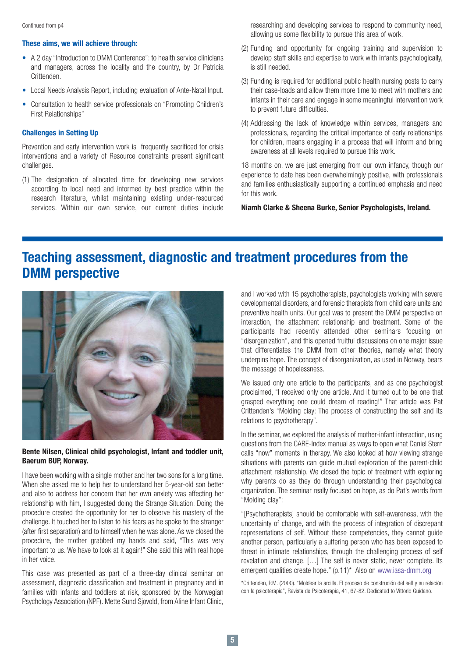#### **These aims, we will achieve through:**

- A 2 day "Introduction to DMM Conference": to health service clinicians and managers, across the locality and the country, by Dr Patricia Crittenden.
- Local Needs Analysis Report, including evaluation of Ante-Natal Input.
- Consultation to health service professionals on "Promoting Children's First Relationships"

#### **Challenges in Setting Up**

Prevention and early intervention work is frequently sacrificed for crisis interventions and a variety of Resource constraints present significant challenges.

(1) The designation of allocated time for developing new services according to local need and informed by best practice within the research literature, whilst maintaining existing under-resourced services. Within our own service, our current duties include researching and developing services to respond to community need, allowing us some flexibility to pursue this area of work.

- (2) Funding and opportunity for ongoing training and supervision to develop staff skills and expertise to work with infants psychologically, is still needed.
- (3) Funding is required for additional public health nursing posts to carry their case-loads and allow them more time to meet with mothers and infants in their care and engage in some meaningful intervention work to prevent future difficulties.
- (4) Addressing the lack of knowledge within services, managers and professionals, regarding the critical importance of early relationships for children, means engaging in a process that will inform and bring awareness at all levels required to pursue this work.

18 months on, we are just emerging from our own infancy, though our experience to date has been overwhelmingly positive, with professionals and families enthusiastically supporting a continued emphasis and need for this work.

**Niamh Clarke & Sheena Burke, Senior Psychologists, Ireland.**

### **Teaching assessment, diagnostic and treatment procedures from the DMM perspective**



#### **Bente Nilsen, Clinical child psychologist, Infant and toddler unit, Baerum BUP, Norway.**

I have been working with a single mother and her two sons for a long time. When she asked me to help her to understand her 5-year-old son better and also to address her concern that her own anxiety was affecting her relationship with him, I suggested doing the Strange Situation. Doing the procedure created the opportunity for her to observe his mastery of the challenge. It touched her to listen to his fears as he spoke to the stranger (after first separation) and to himself when he was alone. As we closed the procedure, the mother grabbed my hands and said, "This was very important to us. We have to look at it again!" She said this with real hope in her voice.

This case was presented as part of a three-day clinical seminar on assessment, diagnostic classification and treatment in pregnancy and in families with infants and toddlers at risk, sponsored by the Norwegian Psychology Association (NPF). Mette Sund Sjovold, from Aline Infant Clinic, and I worked with 15 psychotherapists, psychologists working with severe developmental disorders, and forensic therapists from child care units and preventive health units. Our goal was to present the DMM perspective on interaction, the attachment relationship and treatment. Some of the participants had recently attended other seminars focusing on "disorganization", and this opened fruitful discussions on one major issue that differentiates the DMM from other theories, namely what theory underpins hope. The concept of disorganization, as used in Norway, bears the message of hopelessness.

We issued only one article to the participants, and as one psychologist proclaimed, "I received only one article. And it turned out to be one that grasped everything one could dream of reading!" That article was Pat Crittenden's "Molding clay: The process of constructing the self and its relations to psychotherapy".

In the seminar, we explored the analysis of mother-infant interaction, using questions from the CARE-Index manual as ways to open what Daniel Stern calls "now" moments in therapy. We also looked at how viewing strange situations with parents can guide mutual exploration of the parent-child attachment relationship. We closed the topic of treatment with exploring why parents do as they do through understanding their psychological organization. The seminar really focused on hope, as do Pat's words from "Molding clay":

"[Psychotherapists] should be comfortable with self-awareness, with the uncertainty of change, and with the process of integration of discrepant representations of self. Without these competencies, they cannot guide another person, particularly a suffering person who has been exposed to threat in intimate relationships, through the challenging process of self revelation and change. […] The self is never static, never complete. Its emergent qualities create hope." (p.11)\* Also on www.iasa-dmm.org

\*Crittenden, P.M. (2000). "Moldear la arcilla. El proceso de construción del self y su relación con la psicoterapia", Revista de Psicoterapia, 41, 67-82. Dedicated to Vittorio Guidano.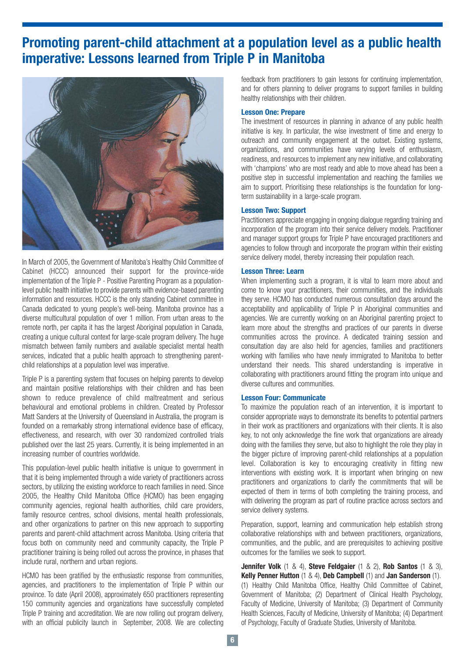### **Promoting parent-child attachment at a population level as a public health imperative: Lessons learned from Triple P in Manitoba**



In March of 2005, the Government of Manitoba's Healthy Child Committee of Cabinet (HCCC) announced their support for the province-wide implementation of the Triple P - Positive Parenting Program as a populationlevel public health initiative to provide parents with evidence-based parenting information and resources. HCCC is the only standing Cabinet committee in Canada dedicated to young people's well-being. Manitoba province has a diverse multicultural population of over 1 million. From urban areas to the remote north, per capita it has the largest Aboriginal population in Canada, creating a unique cultural context for large-scale program delivery. The huge mismatch between family numbers and available specialist mental health services, indicated that a public health approach to strengthening parentchild relationships at a population level was imperative.

Triple P is a parenting system that focuses on helping parents to develop and maintain positive relationships with their children and has been shown to reduce prevalence of child maltreatment and serious behavioural and emotional problems in children. Created by Professor Matt Sanders at the University of Queensland in Australia, the program is founded on a remarkably strong international evidence base of efficacy, effectiveness, and research, with over 30 randomized controlled trials published over the last 25 years. Currently, it is being implemented in an increasing number of countries worldwide.

This population-level public health initiative is unique to government in that it is being implemented through a wide variety of practitioners across sectors, by utilizing the existing workforce to reach families in need. Since 2005, the Healthy Child Manitoba Office (HCMO) has been engaging community agencies, regional health authorities, child care providers, family resource centres, school divisions, mental health professionals, and other organizations to partner on this new approach to supporting parents and parent-child attachment across Manitoba. Using criteria that focus both on community need and community capacity, the Triple P practitioner training is being rolled out across the province, in phases that include rural, northern and urban regions.

HCMO has been gratified by the enthusiastic response from communities, agencies, and practitioners to the implementation of Triple P within our province. To date (April 2008), approximately 650 practitioners representing 150 community agencies and organizations have successfully completed Triple P training and accreditation. We are now rolling out program delivery, with an official publicity launch in September, 2008. We are collecting feedback from practitioners to gain lessons for continuing implementation, and for others planning to deliver programs to support families in building healthy relationships with their children.

#### **Lesson One: Prepare**

The investment of resources in planning in advance of any public health initiative is key. In particular, the wise investment of time and energy to outreach and community engagement at the outset. Existing systems, organizations, and communities have varying levels of enthusiasm, readiness, and resources to implement any new initiative, and collaborating with 'champions' who are most ready and able to move ahead has been a positive step in successful implementation and reaching the families we aim to support. Prioritising these relationships is the foundation for longterm sustainability in a large-scale program.

#### **Lesson Two: Support**

Practitioners appreciate engaging in ongoing dialogue regarding training and incorporation of the program into their service delivery models. Practitioner and manager support groups for Triple P have encouraged practitioners and agencies to follow through and incorporate the program within their existing service delivery model, thereby increasing their population reach.

#### **Lesson Three: Learn**

When implementing such a program, it is vital to learn more about and come to know your practitioners, their communities, and the individuals they serve. HCMO has conducted numerous consultation days around the acceptability and applicability of Triple P in Aboriginal communities and agencies. We are currently working on an Aboriginal parenting project to learn more about the strengths and practices of our parents in diverse communities across the province. A dedicated training session and consultation day are also held for agencies, families and practitioners working with families who have newly immigrated to Manitoba to better understand their needs. This shared understanding is imperative in collaborating with practitioners around fitting the program into unique and diverse cultures and communities.

#### **Lesson Four: Communicate**

To maximize the population reach of an intervention, it is important to consider appropriate ways to demonstrate its benefits to potential partners in their work as practitioners and organizations with their clients. It is also key, to not only acknowledge the fine work that organizations are already doing with the families they serve, but also to highlight the role they play in the bigger picture of improving parent-child relationships at a population level. Collaboration is key to encouraging creativity in fitting new interventions with existing work. It is important when bringing on new practitioners and organizations to clarify the commitments that will be expected of them in terms of both completing the training process, and with delivering the program as part of routine practice across sectors and service delivery systems.

Preparation, support, learning and communication help establish strong collaborative relationships with and between practitioners, organizations, communities, and the public, and are prerequisites to achieving positive outcomes for the families we seek to support.

**Jennifer Volk** (1 & 4), **Steve Feldgaier** (1 & 2), **Rob Santos** (1 & 3), **Kelly Penner Hutton** (1 & 4), **Deb Campbell** (1) and **Jan Sanderson** (1). (1) Healthy Child Manitoba Office, Healthy Child Committee of Cabinet, Government of Manitoba; (2) Department of Clinical Health Psychology, Faculty of Medicine, University of Manitoba; (3) Department of Community Health Sciences, Faculty of Medicine, University of Manitoba; (4) Department of Psychology, Faculty of Graduate Studies, University of Manitoba.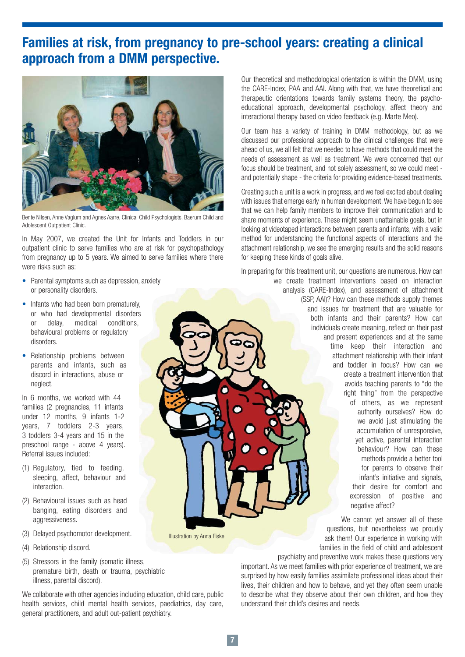### **Families at risk, from pregnancy to pre-school years: creating a clinical approach from a DMM perspective.**



Bente Nilsen, Anne Vaglum and Agnes Aarre, Clinical Child Psychologists, Baerum Child and Adolescent Outpatient Clinic.

In May 2007, we created the Unit for Infants and Toddlers in our outpatient clinic to serve families who are at risk for psychopathology from pregnancy up to 5 years. We aimed to serve families where there were risks such as:

- Parental symptoms such as depression, anxiety or personality disorders.
- Infants who had been born prematurely. or who had developmental disorders or delay, medical conditions, behavioural problems or regulatory disorders.
- Relationship problems between parents and infants, such as discord in interactions, abuse or neglect.

In 6 months, we worked with 44 families (2 pregnancies, 11 infants under 12 months, 9 infants 1-2 years, 7 toddlers 2-3 years, 3 toddlers 3-4 years and 15 in the preschool range - above 4 years). Referral issues included:

- (1) Regulatory, tied to feeding, sleeping, affect, behaviour and interaction.
- (2) Behavioural issues such as head banging, eating disorders and aggressiveness.
- (3) Delayed psychomotor development.
- (4) Relationship discord.
- (5) Stressors in the family (somatic illness, premature birth, death or trauma, psychiatric illness, parental discord).

We collaborate with other agencies including education, child care, public health services, child mental health services, paediatrics, day care, general practitioners, and adult out-patient psychiatry.

Our theoretical and methodological orientation is within the DMM, using the CARE-Index, PAA and AAI. Along with that, we have theoretical and therapeutic orientations towards family systems theory, the psychoeducational approach, developmental psychology, affect theory and interactional therapy based on video feedback (e.g. Marte Meo).

Our team has a variety of training in DMM methodology, but as we discussed our professional approach to the clinical challenges that were ahead of us, we all felt that we needed to have methods that could meet the needs of assessment as well as treatment. We were concerned that our focus should be treatment, and not solely assessment, so we could meet and potentially shape - the criteria for providing evidence-based treatments.

Creating such a unit is a work in progress, and we feel excited about dealing with issues that emerge early in human development. We have begun to see that we can help family members to improve their communication and to share moments of experience. These might seem unattainable goals, but in looking at videotaped interactions between parents and infants, with a valid method for understanding the functional aspects of interactions and the attachment relationship, we see the emerging results and the solid reasons for keeping these kinds of goals alive.

In preparing for this treatment unit, our questions are numerous. How can we create treatment interventions based on interaction analysis (CARE-Index), and assessment of attachment (SSP, AAI)? How can these methods supply themes and issues for treatment that are valuable for both infants and their parents? How can individuals create meaning, reflect on their past and present experiences and at the same time keep their interaction and attachment relationship with their infant and toddler in focus? How can we create a treatment intervention that avoids teaching parents to "do the right thing" from the perspective of others, as we represent authority ourselves? How do we avoid just stimulating the accumulation of unresponsive, yet active, parental interaction behaviour? How can these methods provide a better tool for parents to observe their infant's initiative and signals, their desire for comfort and expression of positive and negative affect?

> We cannot yet answer all of these questions, but nevertheless we proudly ask them! Our experience in working with families in the field of child and adolescent psychiatry and preventive work makes these questions very

important. As we meet families with prior experience of treatment, we are surprised by how easily families assimilate professional ideas about their lives, their children and how to behave, and yet they often seem unable to describe what they observe about their own children, and how they understand their child's desires and needs.

Illustration by Anna Fiske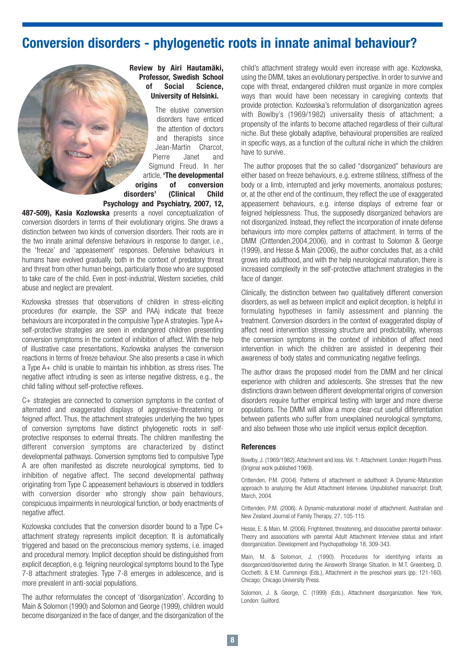### **Conversion disorders - phylogenetic roots in innate animal behaviour?**

**Review by Airi Hautamäki, Professor, Swedish School of Social Science, University of Helsinki.**

The elusive conversion disorders have enticed the attention of doctors and therapists since Jean-Martin Charcot, Pierre Janet and Sigmund Freud. In her article, **'The developmental origins of conversion disorders' (Clinical Child Psychology and Psychiatry, 2007, 12,**

**487-509), Kasia Kozlowska** presents a novel conceptualization of conversion disorders in terms of their evolutionary origins. She draws a distinction between two kinds of conversion disorders. Their roots are in the two innate animal defensive behaviours in response to danger, i.e., the 'freeze' and 'appeasement' responses. Defensive behaviours in humans have evolved gradually, both in the context of predatory threat and threat from other human beings, particularly those who are supposed to take care of the child. Even in post-industrial, Western societies, child abuse and neglect are prevalent.

Kozlowska stresses that observations of children in stress-eliciting procedures (for example, the SSP and PAA) indicate that freeze behaviours are incorporated in the compulsive Type A strategies. Type A+ self-protective strategies are seen in endangered children presenting conversion symptoms in the context of inhibition of affect. With the help of illustrative case presentations, Kozlowska analyses the conversion reactions in terms of freeze behaviour. She also presents a case in which a Type A+ child is unable to maintain his inhibition, as stress rises. The negative affect intruding is seen as intense negative distress, e.g., the child falling without self-protective reflexes.

C+ strategies are connected to conversion symptoms in the context of alternated and exaggerated displays of aggressive-threatening or feigned affect. Thus, the attachment strategies underlying the two types of conversion symptoms have distinct phylogenetic roots in selfprotective responses to external threats. The children manifesting the different conversion symptoms are characterized by distinct developmental pathways. Conversion symptoms tied to compulsive Type A are often manifested as discrete neurological symptoms, tied to inhibition of negative affect. The second developmental pathway originating from Type C appeasement behaviours is observed in toddlers with conversion disorder who strongly show pain behaviours, conspicuous impairments in neurological function, or body enactments of negative affect.

Kozlowska concludes that the conversion disorder bound to a Type C+ attachment strategy represents implicit deception. It is automatically triggered and based on the preconscious memory systems, i.e. imaged and procedural memory. Implicit deception should be distinguished from explicit deception, e.g. feigning neurological symptoms bound to the Type 7-8 attachment strategies. Type 7-8 emerges in adolescence, and is more prevalent in anti-social populations.

The author reformulates the concept of 'disorganization'. According to Main & Solomon (1990) and Solomon and George (1999), children would become disorganized in the face of danger, and the disorganization of the child's attachment strategy would even increase with age. Kozlowska, using the DMM, takes an evolutionary perspective. In order to survive and cope with threat, endangered children must organize in more complex ways than would have been necessary in caregiving contexts that provide protection. Kozlowska's reformulation of disorganization agrees with Bowlby's (1969/1982) universality thesis of attachment; a propensity of the infants to become attached regardless of their cultural niche. But these globally adaptive, behavioural propensities are realized in specific ways, as a function of the cultural niche in which the children have to survive.

The author proposes that the so called "disorganized" behaviours are either based on freeze behaviours, e.g. extreme stillness, stiffness of the body or a limb, interrupted and jerky movements, anomalous postures; or, at the other end of the continuum, they reflect the use of exaggerated appeasement behaviours, e.g. intense displays of extreme fear or feigned helplessness. Thus, the supposedly disorganized behaviors are not disorganized. Instead, they reflect the incorporation of innate defense behaviours into more complex patterns of attachment. In terms of the DMM (Crittenden,2004,2006), and in contrast to Solomon & George (1999), and Hesse & Main (2006), the author concludes that, as a child grows into adulthood, and with the help neurological maturation, there is increased complexity in the self-protective attachment strategies in the face of danger.

Clinically, the distinction between two qualitatively different conversion disorders, as well as between implicit and explicit deception, is helpful in formulating hypotheses in family assessment and planning the treatment. Conversion disorders in the context of exaggerated display of affect need intervention stressing structure and predictability, whereas the conversion symptoms in the context of inhibition of affect need intervention in which the children are assisted in deepening their awareness of body states and communicating negative feelings.

The author draws the proposed model from the DMM and her clinical experience with children and adolescents. She stresses that the new distinctions drawn between different developmental origins of conversion disorders require further empirical testing with larger and more diverse populations. The DMM will allow a more clear-cut useful differentiation between patients who suffer from unexplained neurological symptoms, and also between those who use implicit versus explicit deception.

#### **References**

Bowlby, J. (1969/1982). Attachment and loss. Vol. 1: Attachment. London: Hogarth Press. (Original work published 1969).

Crittenden, P.M. (2004). Patterns of attachment in adulthood: A Dynamic-Maturation approach to analyzing the Adult Attachment Interview. Unpublished manuscript; Draft, March, 2004.

Crittenden, P.M. (2006). A Dynamic-maturational model of attachment. Australian and New Zealand Journal of Family Therapy, 27, 105-115.

Hesse, E. & Main, M. (2006). Frightened, threatening, and dissociative parental behavior: Theory and associations with parental Adult Attachment Interview status and infant disorganization. Development and Psychopathology 18, 309-343.

Main, M. & Solomon, J. (1990). Procedures for identifying infants as disorganized/disoriented during the Ainsworth Strange Situation. In M.T. Greenberg, D. Cicchetti; & E.M. Cummings (Eds.), Attachment in the preschool years (pp. 121-160). Chicago: Chicago University Press.

Solomon, J. & George, C. (1999) (Eds.). Attachment disorganization. New York, London: Guilford.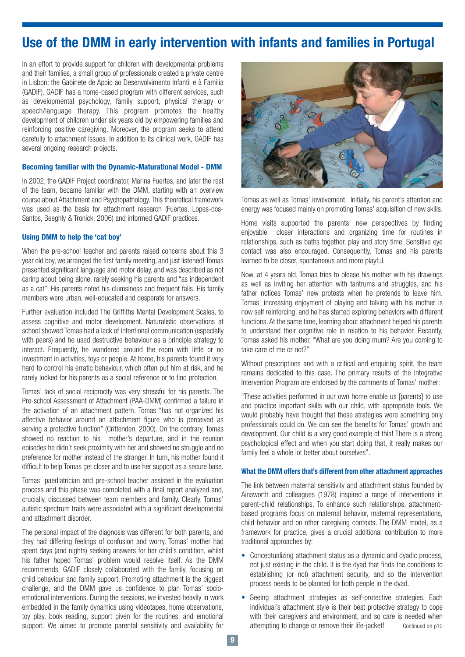### **Use of the DMM in early intervention with infants and families in Portugal**

In an effort to provide support for children with developmental problems and their families, a small group of professionals created a private centre in Lisbon: the Gabinete de Apoio ao Desenvolvimento Infantil e à Familia (GADIF). GADIF has a home-based program with different services, such as developmental psychology, family support, physical therapy or speech/language therapy. This program promotes the healthy development of children under six years old by empowering families and reinforcing positive caregiving. Moreover, the program seeks to attend carefully to attachment issues. In addition to its clinical work, GADIF has several ongoing research projects.

#### **Becoming familiar with the Dynamic-Maturational Model - DMM**

In 2002, the GADIF Project coordinator, Marina Fuertes, and later the rest of the team, became familiar with the DMM, starting with an overview course about Attachment and Psychopathology. This theoretical framework was used as the basis for attachment research (Fuertes, Lopes-dos-Santos, Beeghly & Tronick, 2006) and informed GADIF practices.

#### **Using DMM to help the 'cat boy'**

When the pre-school teacher and parents raised concerns about this 3 year old boy, we arranged the first family meeting, and just listened! Tomas presented significant language and motor delay, and was described as not caring about being alone, rarely seeking his parents and "as independent as a cat". His parents noted his clumsiness and frequent falls. His family members were urban, well-educated and desperate for answers.

Further evaluation included The Griffiths Mental Development Scales, to assess cognitive and motor development. Naturalistic observations at school showed Tomas had a lack of intentional communication (especially with peers) and he used destructive behaviour as a principle strategy to interact. Frequently, he wandered around the room with little or no investment in activities, toys or people. At home, his parents found it very hard to control his erratic behaviour, which often put him at risk, and he rarely looked for his parents as a social reference or to find protection.

Tomas' lack of social reciprocity was very stressful for his parents. The Pre-school Assessment of Attachment (PAA-DMM) confirmed a failure in the activation of an attachment pattern. Tomas "has not organized his affective behavior around an attachment figure who is perceived as serving a protective function" (Crittenden, 2000). On the contrary, Tomas showed no reaction to his mother's departure, and in the reunion episodes he didn't seek proximity with her and showed no struggle and no preference for mother instead of the stranger. In turn, his mother found it difficult to help Tomas get closer and to use her support as a secure base.

Tomas' paediatrician and pre-school teacher assisted in the evaluation process and this phase was completed with a final report analyzed and, crucially, discussed between team members and family. Clearly, Tomas' autistic spectrum traits were associated with a significant developmental and attachment disorder.

The personal impact of the diagnosis was different for both parents, and they had differing feelings of confusion and worry. Tomas' mother had spent days (and nights) seeking answers for her child's condition, whilst his father hoped Tomas' problem would resolve itself. As the DMM recommends, GADIF closely collaborated with the family, focusing on child behaviour and family support. Promoting attachment is the biggest challenge, and the DMM gave us confidence to plan Tomas' socioemotional interventions. During the sessions, we invested heavily in work embedded in the family dynamics using videotapes, home observations, toy play, book reading, support given for the routines, and emotional support. We aimed to promote parental sensitivity and availability for



Tomas as well as Tomas' involvement. Initially, his parent's attention and energy was focused mainly on promoting Tomas' acquisition of new skills.

Home visits supported the parents' new perspectives by finding enjoyable closer interactions and organizing time for routines in relationships, such as baths together, play and story time. Sensitive eye contact was also encouraged. Consequently, Tomas and his parents learned to be closer, spontaneous and more playful.

Now, at 4 years old, Tomas tries to please his mother with his drawings as well as inviting her attention with tantrums and struggles, and his father notices Tomas' new protests when he pretends to leave him. Tomas' increasing enjoyment of playing and talking with his mother is now self reinforcing, and he has started exploring behaviors with different functions. At the same time, learning about attachment helped his parents to understand their cognitive role in relation to his behavior. Recently, Tomas asked his mother, "What are you doing mum? Are you coming to take care of me or not?"

Without prescriptions and with a critical and enquiring spirit, the team remains dedicated to this case. The primary results of the Integrative Intervention Program are endorsed by the comments of Tomas' mother:

"These activities performed in our own home enable us [parents] to use and practice important skills with our child, with appropriate tools. We would probably have thought that these strategies were something only professionals could do. We can see the benefits for Tomas' growth and development. Our child is a very good example of this! There is a strong psychological effect and when you start doing that, it really makes our family feel a whole lot better about ourselves".

#### **What the DMM offers that's different from other attachment approaches**

The link between maternal sensitivity and attachment status founded by Ainsworth and colleagues (1978) inspired a range of interventions in parent-child relationships. To enhance such relationships, attachmentbased programs focus on maternal behavior, maternal representations, child behavior and on other caregiving contexts. The DMM model, as a framework for practice, gives a crucial additional contribution to more traditional approaches by:

- Conceptualizing attachment status as a dynamic and dyadic process, not just existing in the child. It is the dyad that finds the conditions to establishing (or not) attachment security, and so the intervention process needs to be planned for both people in the dyad.
- Seeing attachment strategies as self-protective strategies. Each individual's attachment style is their best protective strategy to cope with their caregivers and environment, and so care is needed when attempting to change or remove their life-jacket! Continued on p10